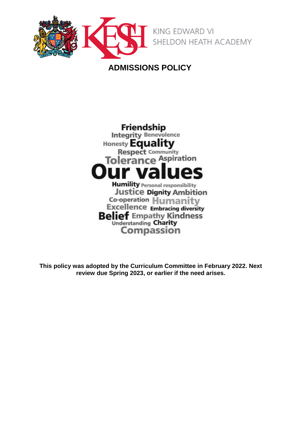

# **ADMISSIONS POLICY**



**This policy was adopted by the Curriculum Committee in February 2022. Next review due Spring 2023, or earlier if the need arises.**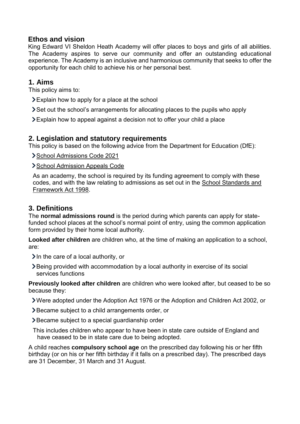#### **Ethos and vision**

King Edward VI Sheldon Heath Academy will offer places to boys and girls of all abilities. The Academy aspires to serve our community and offer an outstanding educational experience. The Academy is an inclusive and harmonious community that seeks to offer the opportunity for each child to achieve his or her personal best.

#### **1. Aims**

This policy aims to:

- Explain how to apply for a place at the school
- Set out the school's arrangements for allocating places to the pupils who apply
- Explain how to appeal against a decision not to offer your child a place

# **2. Legislation and statutory requirements**

This policy is based on the following advice from the Department for Education (DfE):

[School Admissions Code 2021](https://www.gov.uk/government/publications/school-admissions-code--2)

> [School Admission Appeals Code](https://www.gov.uk/government/publications/school-admissions-appeals-code)

As an academy, the school is required by its funding agreement to comply with these codes, and with the law relating to admissions as set out in the [School Standards and](http://www.legislation.gov.uk/ukpga/1998/31/contents)  [Framework Act 1998.](http://www.legislation.gov.uk/ukpga/1998/31/contents)

#### **3. Definitions**

The **normal admissions round** is the period during which parents can apply for statefunded school places at the school's normal point of entry, using the common application form provided by their home local authority.

**Looked after children** are children who, at the time of making an application to a school, are:

- $\sum$  In the care of a local authority, or
- Being provided with accommodation by a local authority in exercise of its social services functions

**Previously looked after children** are children who were looked after, but ceased to be so because they:

- Were adopted under the Adoption Act 1976 or the Adoption and Children Act 2002, or
- Became subject to a child arrangements order, or
- Became subject to a special guardianship order
- This includes children who appear to have been in state care outside of England and have ceased to be in state care due to being adopted.

A child reaches **compulsory school age** on the prescribed day following his or her fifth birthday (or on his or her fifth birthday if it falls on a prescribed day). The prescribed days are 31 December, 31 March and 31 August.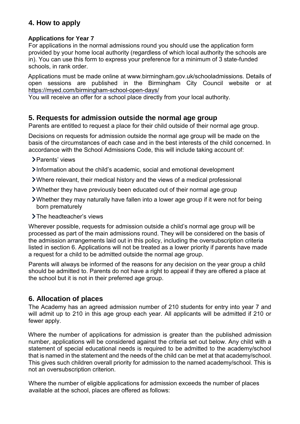# **4. How to apply**

#### **Applications for Year 7**

For applications in the normal admissions round you should use the application form provided by your home local authority (regardless of which local authority the schools are in). You can use this form to express your preference for a minimum of 3 state-funded schools, in rank order.

Applications must be made online at www.birmingham.gov.uk/schooladmissions. Details of open sessions are published in the Birmingham City Council website or at <https://myed.com/birmingham-school-open-days/>

You will receive an offer for a school place directly from your local authority.

#### **5. Requests for admission outside the normal age group**

Parents are entitled to request a place for their child outside of their normal age group.

Decisions on requests for admission outside the normal age group will be made on the basis of the circumstances of each case and in the best interests of the child concerned. In accordance with the School Admissions Code, this will include taking account of:

- > Parents' views
- Information about the child's academic, social and emotional development
- Where relevant, their medical history and the views of a medical professional
- Whether they have previously been educated out of their normal age group
- Whether they may naturally have fallen into a lower age group if it were not for being born prematurely
- > The headteacher's views

Wherever possible, requests for admission outside a child's normal age group will be processed as part of the main admissions round. They will be considered on the basis of the admission arrangements laid out in this policy, including the oversubscription criteria listed in section 6. Applications will not be treated as a lower priority if parents have made a request for a child to be admitted outside the normal age group.

Parents will always be informed of the reasons for any decision on the year group a child should be admitted to. Parents do not have a right to appeal if they are offered a place at the school but it is not in their preferred age group.

# **6. Allocation of places**

The Academy has an agreed admission number of 210 students for entry into year 7 and will admit up to 210 in this age group each year. All applicants will be admitted if 210 or fewer apply.

Where the number of applications for admission is greater than the published admission number, applications will be considered against the criteria set out below. Any child with a statement of special educational needs is required to be admitted to the academy/school that is named in the statement and the needs of the child can be met at that academy/school. This gives such children overall priority for admission to the named academy/school. This is not an oversubscription criterion.

Where the number of eligible applications for admission exceeds the number of places available at the school, places are offered as follows: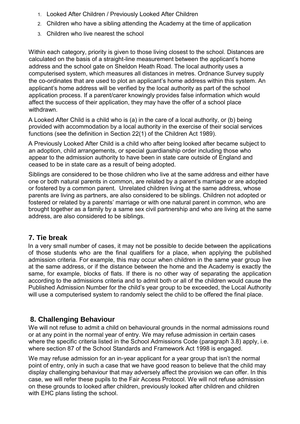- 1. Looked After Children / Previously Looked After Children
- 2. Children who have a sibling attending the Academy at the time of application
- 3. Children who live nearest the school

Within each category, priority is given to those living closest to the school. Distances are calculated on the basis of a straight-line measurement between the applicant's home address and the school gate on Sheldon Heath Road. The local authority uses a computerised system, which measures all distances in metres. Ordnance Survey supply the co-ordinates that are used to plot an applicant's home address within this system. An applicant's home address will be verified by the local authority as part of the school application process. If a parent/carer knowingly provides false information which would affect the success of their application, they may have the offer of a school place withdrawn.

A Looked After Child is a child who is (a) in the care of a local authority, or (b) being provided with accommodation by a local authority in the exercise of their social services functions (see the definition in Section 22(1) of the Children Act 1989).

A Previously Looked After Child is a child who after being looked after became subject to an adoption, child arrangements, or special guardianship order including those who appear to the admission authority to have been in state care outside of England and ceased to be in state care as a result of being adopted.

Siblings are considered to be those children who live at the same address and either have one or both natural parents in common, are related by a parent's marriage or are adopted or fostered by a common parent. Unrelated children living at the same address, whose parents are living as partners, are also considered to be siblings. Children not adopted or fostered or related by a parents' marriage or with one natural parent in common, who are brought together as a family by a same sex civil partnership and who are living at the same address, are also considered to be siblings.

#### **7. Tie break**

In a very small number of cases, it may not be possible to decide between the applications of those students who are the final qualifiers for a place, when applying the published admission criteria. For example, this may occur when children in the same year group live at the same address, or if the distance between the home and the Academy is exactly the same, for example, blocks of flats. If there is no other way of separating the application according to the admissions criteria and to admit both or all of the children would cause the Published Admission Number for the child's year group to be exceeded, the Local Authority will use a computerised system to randomly select the child to be offered the final place.

# **8. Challenging Behaviour**

We will not refuse to admit a child on behavioural grounds in the normal admissions round or at any point in the normal year of entry. We may refuse admission in certain cases where the specific criteria listed in the School Admissions Code (paragraph 3.8) apply, i.e. where section 87 of the School Standards and Framework Act 1998 is engaged.

We may refuse admission for an in-year applicant for a year group that isn't the normal point of entry, only in such a case that we have good reason to believe that the child may display challenging behaviour that may adversely affect the provision we can offer. In this case, we will refer these pupils to the Fair Access Protocol. We will not refuse admission on these grounds to looked after children, previously looked after children and children with EHC plans listing the school.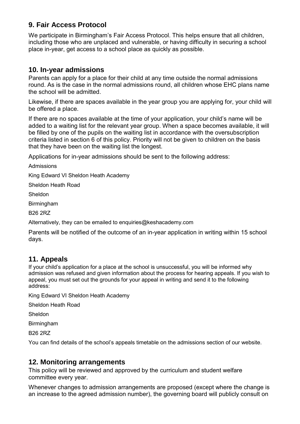# **9. Fair Access Protocol**

We participate in Birmingham's Fair Access Protocol. This helps ensure that all children, including those who are unplaced and vulnerable, or having difficulty in securing a school place in-year, get access to a school place as quickly as possible.

#### **10. In-year admissions**

Parents can apply for a place for their child at any time outside the normal admissions round. As is the case in the normal admissions round, all children whose EHC plans name the school will be admitted.

Likewise, if there are spaces available in the year group you are applying for, your child will be offered a place.

If there are no spaces available at the time of your application, your child's name will be added to a waiting list for the relevant year group. When a space becomes available, it will be filled by one of the pupils on the waiting list in accordance with the oversubscription criteria listed in section 6 of this policy. Priority will not be given to children on the basis that they have been on the waiting list the longest.

Applications for in-year admissions should be sent to the following address:

Admissions

King Edward VI Sheldon Heath Academy

Sheldon Heath Road

Sheldon

Birmingham

B26 2RZ

Alternatively, they can be emailed to enquiries@keshacademy.com

Parents will be notified of the outcome of an in-year application in writing within 15 school days.

# **11. Appeals**

If your child's application for a place at the school is unsuccessful, you will be informed why admission was refused and given information about the process for hearing appeals. If you wish to appeal, you must set out the grounds for your appeal in writing and send it to the following address:

King Edward VI Sheldon Heath Academy

Sheldon Heath Road

Sheldon

**Birmingham** 

B26 2RZ

You can find details of the school's appeals timetable on the admissions section of our website.

#### **12. Monitoring arrangements**

This policy will be reviewed and approved by the curriculum and student welfare committee every year.

Whenever changes to admission arrangements are proposed (except where the change is an increase to the agreed admission number), the governing board will publicly consult on